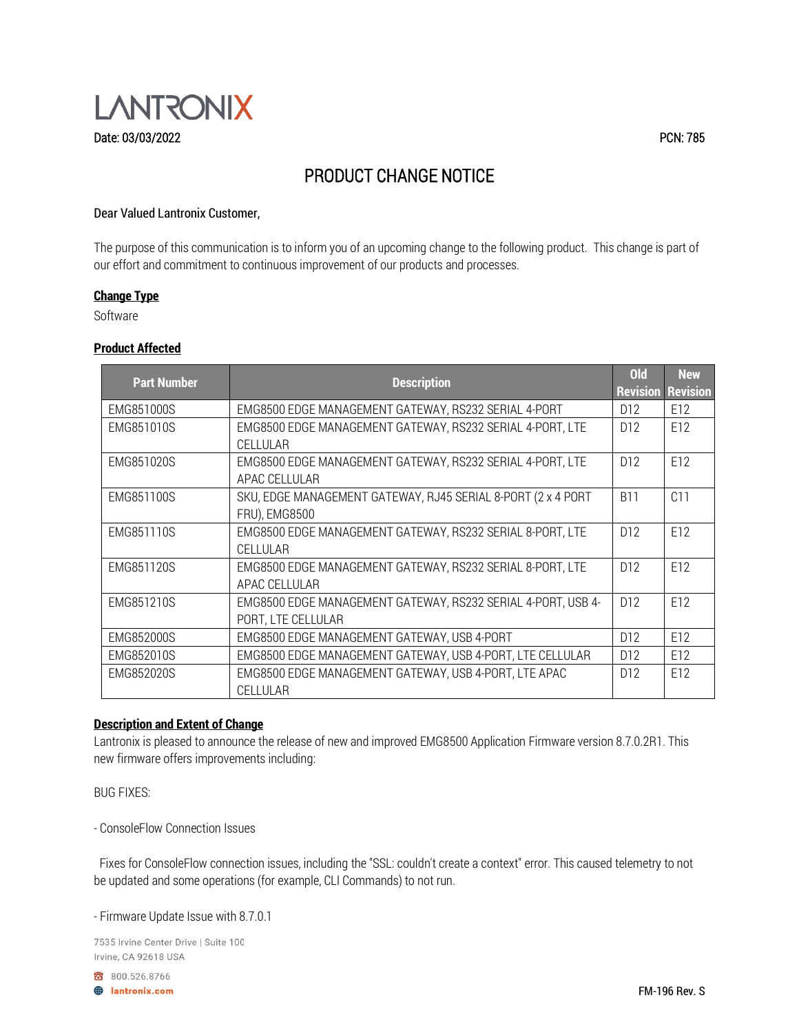

# PRODUCT CHANGE NOTICE

#### Dear Valued Lantronix Customer,

The purpose of this communication is to inform you of an upcoming change to the following product. This change is part of our effort and commitment to continuous improvement of our products and processes.

#### **Change Type**

Software

#### **Product Affected**

| <b>Part Number</b> | <b>Description</b>                                           | ol <sub>d</sub> | <b>New</b>               |
|--------------------|--------------------------------------------------------------|-----------------|--------------------------|
|                    |                                                              |                 | <b>Revision Revision</b> |
| EMG851000S         | EMG8500 EDGE MANAGEMENT GATEWAY, RS232 SERIAL 4-PORT         | D <sub>12</sub> | E12                      |
| EMG851010S         | EMG8500 EDGE MANAGEMENT GATEWAY, RS232 SERIAL 4-PORT, LTE    | D <sub>12</sub> | E12                      |
|                    | CELLULAR                                                     |                 |                          |
| EMG851020S         | EMG8500 EDGE MANAGEMENT GATEWAY, RS232 SERIAL 4-PORT, LTE    | D <sub>12</sub> | E12                      |
|                    | APAC CELLULAR                                                |                 |                          |
| EMG851100S         | SKU, EDGE MANAGEMENT GATEWAY, RJ45 SERIAL 8-PORT (2 x 4 PORT | <b>B11</b>      | C11                      |
|                    | <b>FRU), EMG8500</b>                                         |                 |                          |
| EMG851110S         | EMG8500 EDGE MANAGEMENT GATEWAY, RS232 SERIAL 8-PORT, LTE    | D <sub>12</sub> | E12                      |
|                    | CELLULAR                                                     |                 |                          |
| EMG851120S         | EMG8500 EDGE MANAGEMENT GATEWAY, RS232 SERIAL 8-PORT, LTE    | D <sub>12</sub> | E12                      |
|                    | APAC CELLULAR                                                |                 |                          |
| EMG851210S         | EMG8500 EDGE MANAGEMENT GATEWAY, RS232 SERIAL 4-PORT, USB 4- | D <sub>12</sub> | E12                      |
|                    | PORT, LTE CELLULAR                                           |                 |                          |
| EMG852000S         | EMG8500 EDGE MANAGEMENT GATEWAY, USB 4-PORT                  | D <sub>12</sub> | F <sub>12</sub>          |
| EMG852010S         | EMG8500 EDGE MANAGEMENT GATEWAY, USB 4-PORT, LTE CELLULAR    | D <sub>12</sub> | E12                      |
| EMG852020S         | EMG8500 EDGE MANAGEMENT GATEWAY, USB 4-PORT, LTE APAC        | D <sub>12</sub> | E12                      |
|                    | CELLULAR                                                     |                 |                          |

## **Description and Extent of Change**

Lantronix is pleased to announce the release of new and improved EMG8500 Application Firmware version 8.7.0.2R1. This new firmware offers improvements including:

BUG FIXES:

- ConsoleFlow Connection Issues

 Fixes for ConsoleFlow connection issues, including the "SSL: couldn't create a context" error. This caused telemetry to not be updated and some operations (for example, CLI Commands) to not run.

- Firmware Update Issue with 8.7.0.1

7535 Irvine Center Drive | Suite 100 Irvine, CA 92618 USA

800.526.8766

**B** lantronix.com